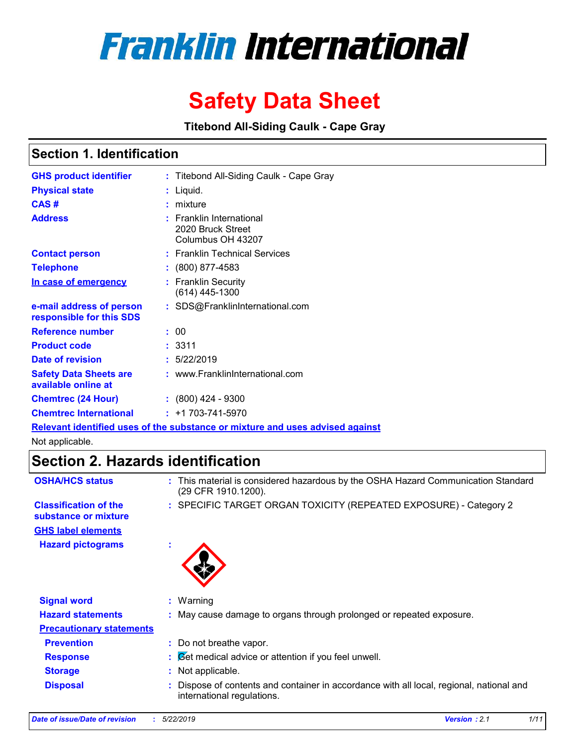# **Franklin International**

## **Safety Data Sheet**

**Titebond All-Siding Caulk - Cape Gray**

### **Section 1. Identification**

| <b>GHS product identifier</b>                        | : Titebond All-Siding Caulk - Cape Gray                                              |
|------------------------------------------------------|--------------------------------------------------------------------------------------|
| <b>Physical state</b>                                | : Liquid.                                                                            |
| CAS#                                                 | : mixture                                                                            |
| <b>Address</b>                                       | $:$ Franklin International<br>2020 Bruck Street<br>Columbus OH 43207                 |
| <b>Contact person</b>                                | : Franklin Technical Services                                                        |
| <b>Telephone</b>                                     | $: (800) 877-4583$                                                                   |
| In case of emergency                                 | : Franklin Security<br>(614) 445-1300                                                |
| e-mail address of person<br>responsible for this SDS | : SDS@FranklinInternational.com                                                      |
| Reference number                                     | : 00                                                                                 |
| <b>Product code</b>                                  | : 3311                                                                               |
| Date of revision                                     | : 5/22/2019                                                                          |
| <b>Safety Data Sheets are</b><br>available online at | : www.FranklinInternational.com                                                      |
| <b>Chemtrec (24 Hour)</b>                            | $: (800)$ 424 - 9300                                                                 |
| <b>Chemtrec International</b>                        | $: +1703 - 741 - 5970$                                                               |
|                                                      | <u>Relevant identified uses of the substance or mixture and uses advised against</u> |

Not applicable.

### **Section 2. Hazards identification**

| <b>OSHA/HCS status</b>                               | This material is considered hazardous by the OSHA Hazard Communication Standard<br>÷.<br>(29 CFR 1910.1200).         |
|------------------------------------------------------|----------------------------------------------------------------------------------------------------------------------|
| <b>Classification of the</b><br>substance or mixture | : SPECIFIC TARGET ORGAN TOXICITY (REPEATED EXPOSURE) - Category 2                                                    |
| <b>GHS label elements</b>                            |                                                                                                                      |
| <b>Hazard pictograms</b>                             | ٠                                                                                                                    |
| <b>Signal word</b>                                   | $:$ Warning                                                                                                          |
| <b>Hazard statements</b>                             | : May cause damage to organs through prolonged or repeated exposure.                                                 |
| <b>Precautionary statements</b>                      |                                                                                                                      |
| <b>Prevention</b>                                    | : Do not breathe vapor.                                                                                              |
| <b>Response</b>                                      | $\mathcal{B}$ $\mathcal{B}$ et medical advice or attention if you feel unwell.                                       |
| <b>Storage</b>                                       | Not applicable.<br>÷.                                                                                                |
| <b>Disposal</b>                                      | Dispose of contents and container in accordance with all local, regional, national and<br>international regulations. |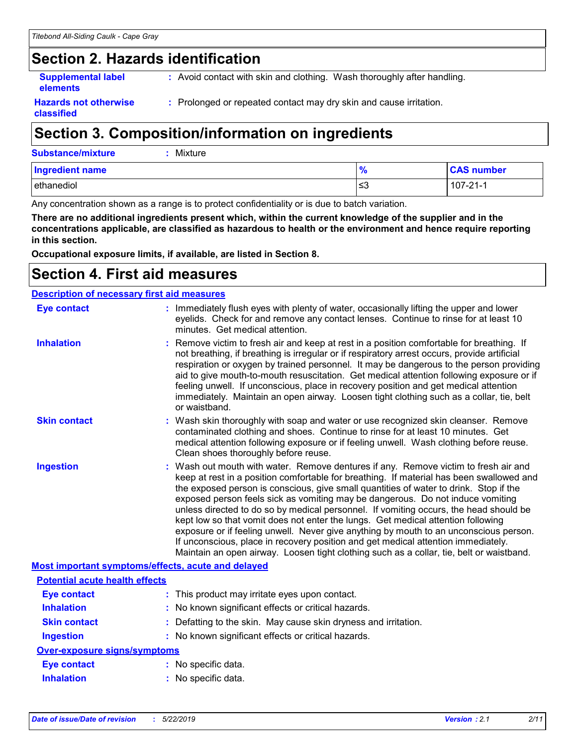### **Section 2. Hazards identification**

**Supplemental label elements**

**:** Avoid contact with skin and clothing. Wash thoroughly after handling.

**Hazards not otherwise classified**

**:** Prolonged or repeated contact may dry skin and cause irritation.

### **Section 3. Composition/information on ingredients**

| Substance/mixture | $:$ Mixture |
|-------------------|-------------|
|                   |             |

| <b>Ingredient name</b> | . O.<br>7c | <b>CAS number</b> |
|------------------------|------------|-------------------|
| ethanediol             | צ≥         | $107 - 21 - 1$    |

Any concentration shown as a range is to protect confidentiality or is due to batch variation.

**There are no additional ingredients present which, within the current knowledge of the supplier and in the concentrations applicable, are classified as hazardous to health or the environment and hence require reporting in this section.**

**Occupational exposure limits, if available, are listed in Section 8.**

### **Section 4. First aid measures**

| <b>Description of necessary first aid measures</b> |                                                                                                                                                                                                                                                                                                                                                                                                                                                                                                                                                                                                                                                                                                                                                                                                                   |
|----------------------------------------------------|-------------------------------------------------------------------------------------------------------------------------------------------------------------------------------------------------------------------------------------------------------------------------------------------------------------------------------------------------------------------------------------------------------------------------------------------------------------------------------------------------------------------------------------------------------------------------------------------------------------------------------------------------------------------------------------------------------------------------------------------------------------------------------------------------------------------|
| <b>Eye contact</b>                                 | : Immediately flush eyes with plenty of water, occasionally lifting the upper and lower<br>eyelids. Check for and remove any contact lenses. Continue to rinse for at least 10<br>minutes. Get medical attention.                                                                                                                                                                                                                                                                                                                                                                                                                                                                                                                                                                                                 |
| <b>Inhalation</b>                                  | : Remove victim to fresh air and keep at rest in a position comfortable for breathing. If<br>not breathing, if breathing is irregular or if respiratory arrest occurs, provide artificial<br>respiration or oxygen by trained personnel. It may be dangerous to the person providing<br>aid to give mouth-to-mouth resuscitation. Get medical attention following exposure or if<br>feeling unwell. If unconscious, place in recovery position and get medical attention<br>immediately. Maintain an open airway. Loosen tight clothing such as a collar, tie, belt<br>or waistband.                                                                                                                                                                                                                              |
| <b>Skin contact</b>                                | : Wash skin thoroughly with soap and water or use recognized skin cleanser. Remove<br>contaminated clothing and shoes. Continue to rinse for at least 10 minutes. Get<br>medical attention following exposure or if feeling unwell. Wash clothing before reuse.<br>Clean shoes thoroughly before reuse.                                                                                                                                                                                                                                                                                                                                                                                                                                                                                                           |
| <b>Ingestion</b>                                   | : Wash out mouth with water. Remove dentures if any. Remove victim to fresh air and<br>keep at rest in a position comfortable for breathing. If material has been swallowed and<br>the exposed person is conscious, give small quantities of water to drink. Stop if the<br>exposed person feels sick as vomiting may be dangerous. Do not induce vomiting<br>unless directed to do so by medical personnel. If vomiting occurs, the head should be<br>kept low so that vomit does not enter the lungs. Get medical attention following<br>exposure or if feeling unwell. Never give anything by mouth to an unconscious person.<br>If unconscious, place in recovery position and get medical attention immediately.<br>Maintain an open airway. Loosen tight clothing such as a collar, tie, belt or waistband. |
| Most important symptoms/effects, acute and delayed |                                                                                                                                                                                                                                                                                                                                                                                                                                                                                                                                                                                                                                                                                                                                                                                                                   |
| <b>Potential acute health effects</b>              |                                                                                                                                                                                                                                                                                                                                                                                                                                                                                                                                                                                                                                                                                                                                                                                                                   |
| <b>Eye contact</b>                                 | : This product may irritate eyes upon contact.                                                                                                                                                                                                                                                                                                                                                                                                                                                                                                                                                                                                                                                                                                                                                                    |
| <b>Inhalation</b>                                  | : No known significant effects or critical hazards.                                                                                                                                                                                                                                                                                                                                                                                                                                                                                                                                                                                                                                                                                                                                                               |
| <b>Skin contact</b>                                | : Defatting to the skin. May cause skin dryness and irritation.                                                                                                                                                                                                                                                                                                                                                                                                                                                                                                                                                                                                                                                                                                                                                   |
| <b>Ingestion</b>                                   | : No known significant effects or critical hazards.                                                                                                                                                                                                                                                                                                                                                                                                                                                                                                                                                                                                                                                                                                                                                               |
| <b>Over-exposure signs/symptoms</b>                |                                                                                                                                                                                                                                                                                                                                                                                                                                                                                                                                                                                                                                                                                                                                                                                                                   |
| <b>Eye contact</b>                                 | : No specific data.                                                                                                                                                                                                                                                                                                                                                                                                                                                                                                                                                                                                                                                                                                                                                                                               |
| <b>Inhalation</b>                                  | : No specific data.                                                                                                                                                                                                                                                                                                                                                                                                                                                                                                                                                                                                                                                                                                                                                                                               |
|                                                    |                                                                                                                                                                                                                                                                                                                                                                                                                                                                                                                                                                                                                                                                                                                                                                                                                   |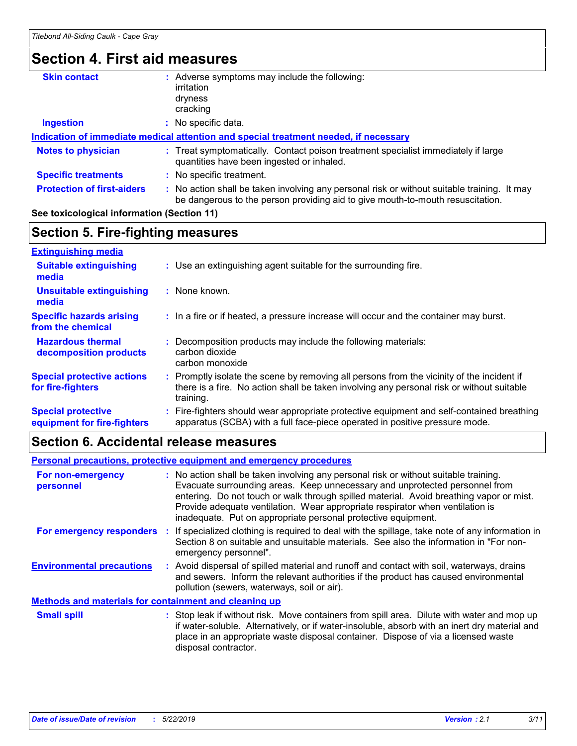### **Section 4. First aid measures**

| <b>Skin contact</b>               | Adverse symptoms may include the following:                                                                                                                                   |
|-----------------------------------|-------------------------------------------------------------------------------------------------------------------------------------------------------------------------------|
|                                   | irritation                                                                                                                                                                    |
|                                   | dryness                                                                                                                                                                       |
|                                   | cracking                                                                                                                                                                      |
| <b>Ingestion</b>                  | No specific data.                                                                                                                                                             |
|                                   | Indication of immediate medical attention and special treatment needed, if necessary                                                                                          |
| <b>Notes to physician</b>         | : Treat symptomatically. Contact poison treatment specialist immediately if large<br>quantities have been ingested or inhaled.                                                |
| <b>Specific treatments</b>        | : No specific treatment.                                                                                                                                                      |
| <b>Protection of first-aiders</b> | : No action shall be taken involving any personal risk or without suitable training. It may<br>be dangerous to the person providing aid to give mouth-to-mouth resuscitation. |
|                                   |                                                                                                                                                                               |

#### **See toxicological information (Section 11)**

#### **Section 5. Fire-fighting measures**

| <b>Extinguishing media</b>                               |                                                                                                                                                                                                     |
|----------------------------------------------------------|-----------------------------------------------------------------------------------------------------------------------------------------------------------------------------------------------------|
| <b>Suitable extinguishing</b><br>media                   | : Use an extinguishing agent suitable for the surrounding fire.                                                                                                                                     |
| <b>Unsuitable extinguishing</b><br>media                 | : None known.                                                                                                                                                                                       |
| <b>Specific hazards arising</b><br>from the chemical     | : In a fire or if heated, a pressure increase will occur and the container may burst.                                                                                                               |
| <b>Hazardous thermal</b><br>decomposition products       | Decomposition products may include the following materials:<br>carbon dioxide<br>carbon monoxide                                                                                                    |
| <b>Special protective actions</b><br>for fire-fighters   | : Promptly isolate the scene by removing all persons from the vicinity of the incident if<br>there is a fire. No action shall be taken involving any personal risk or without suitable<br>training. |
| <b>Special protective</b><br>equipment for fire-fighters | : Fire-fighters should wear appropriate protective equipment and self-contained breathing<br>apparatus (SCBA) with a full face-piece operated in positive pressure mode.                            |

#### **Section 6. Accidental release measures**

#### **Environmental precautions Personal precautions, protective equipment and emergency procedures :** Avoid dispersal of spilled material and runoff and contact with soil, waterways, drains **:** No action shall be taken involving any personal risk or without suitable training. Evacuate surrounding areas. Keep unnecessary and unprotected personnel from entering. Do not touch or walk through spilled material. Avoid breathing vapor or mist. Provide adequate ventilation. Wear appropriate respirator when ventilation is inadequate. Put on appropriate personal protective equipment. and sewers. Inform the relevant authorities if the product has caused environmental pollution (sewers, waterways, soil or air). : Stop leak if without risk. Move containers from spill area. Dilute with water and mop up if water-soluble. Alternatively, or if water-insoluble, absorb with an inert dry material and place in an appropriate waste disposal container. Dispose of via a licensed waste disposal contractor. **Small spill : Methods and materials for containment and cleaning up For non-emergency personnel For emergency responders :** If specialized clothing is required to deal with the spillage, take note of any information in Section 8 on suitable and unsuitable materials. See also the information in "For nonemergency personnel".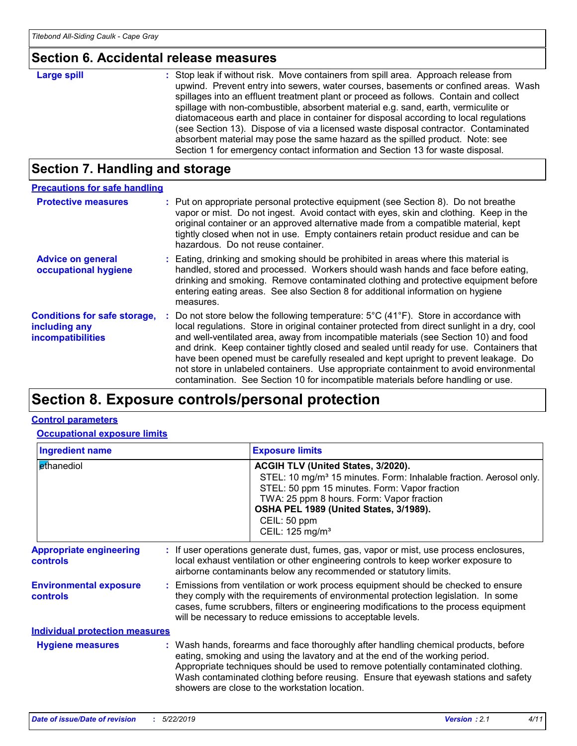### **Section 6. Accidental release measures**

| Large spill | : Stop leak if without risk. Move containers from spill area. Approach release from<br>upwind. Prevent entry into sewers, water courses, basements or confined areas. Wash<br>spillages into an effluent treatment plant or proceed as follows. Contain and collect<br>spillage with non-combustible, absorbent material e.g. sand, earth, vermiculite or<br>diatomaceous earth and place in container for disposal according to local regulations<br>(see Section 13). Dispose of via a licensed waste disposal contractor. Contaminated<br>absorbent material may pose the same hazard as the spilled product. Note: see |
|-------------|----------------------------------------------------------------------------------------------------------------------------------------------------------------------------------------------------------------------------------------------------------------------------------------------------------------------------------------------------------------------------------------------------------------------------------------------------------------------------------------------------------------------------------------------------------------------------------------------------------------------------|
|             | Section 1 for emergency contact information and Section 13 for waste disposal.                                                                                                                                                                                                                                                                                                                                                                                                                                                                                                                                             |

### **Section 7. Handling and storage**

| <b>Precautions for safe handling</b>                                             |                                                                                                                                                                                                                                                                                                                                                                                                                                                                                                                                                                                                                                                                     |
|----------------------------------------------------------------------------------|---------------------------------------------------------------------------------------------------------------------------------------------------------------------------------------------------------------------------------------------------------------------------------------------------------------------------------------------------------------------------------------------------------------------------------------------------------------------------------------------------------------------------------------------------------------------------------------------------------------------------------------------------------------------|
| <b>Protective measures</b>                                                       | : Put on appropriate personal protective equipment (see Section 8). Do not breathe<br>vapor or mist. Do not ingest. Avoid contact with eyes, skin and clothing. Keep in the<br>original container or an approved alternative made from a compatible material, kept<br>tightly closed when not in use. Empty containers retain product residue and can be<br>hazardous. Do not reuse container.                                                                                                                                                                                                                                                                      |
| <b>Advice on general</b><br>occupational hygiene                                 | : Eating, drinking and smoking should be prohibited in areas where this material is<br>handled, stored and processed. Workers should wash hands and face before eating,<br>drinking and smoking. Remove contaminated clothing and protective equipment before<br>entering eating areas. See also Section 8 for additional information on hygiene<br>measures.                                                                                                                                                                                                                                                                                                       |
| <b>Conditions for safe storage,</b><br>including any<br><b>incompatibilities</b> | : Do not store below the following temperature: $5^{\circ}$ C (41 <sup>o</sup> F). Store in accordance with<br>local regulations. Store in original container protected from direct sunlight in a dry, cool<br>and well-ventilated area, away from incompatible materials (see Section 10) and food<br>and drink. Keep container tightly closed and sealed until ready for use. Containers that<br>have been opened must be carefully resealed and kept upright to prevent leakage. Do<br>not store in unlabeled containers. Use appropriate containment to avoid environmental<br>contamination. See Section 10 for incompatible materials before handling or use. |

### **Section 8. Exposure controls/personal protection**

#### **Control parameters**

**Occupational exposure limits**

| <b>Ingredient name</b>                            |  |                                                                                                                                                                                                                                                                                                                                 | <b>Exposure limits</b>                                                                                                                                                                                                                                                                                                                                                                            |  |
|---------------------------------------------------|--|---------------------------------------------------------------------------------------------------------------------------------------------------------------------------------------------------------------------------------------------------------------------------------------------------------------------------------|---------------------------------------------------------------------------------------------------------------------------------------------------------------------------------------------------------------------------------------------------------------------------------------------------------------------------------------------------------------------------------------------------|--|
| ethanediol                                        |  |                                                                                                                                                                                                                                                                                                                                 | <b>ACGIH TLV (United States, 3/2020).</b><br>STEL: 10 mg/m <sup>3</sup> 15 minutes. Form: Inhalable fraction. Aerosol only.<br>STEL: 50 ppm 15 minutes. Form: Vapor fraction<br>TWA: 25 ppm 8 hours. Form: Vapor fraction<br>OSHA PEL 1989 (United States, 3/1989).<br>CEIL: 50 ppm<br>CEIL: 125 mg/m <sup>3</sup>                                                                                |  |
| <b>Appropriate engineering</b><br><b>controls</b> |  | : If user operations generate dust, fumes, gas, vapor or mist, use process enclosures,<br>local exhaust ventilation or other engineering controls to keep worker exposure to<br>airborne contaminants below any recommended or statutory limits.                                                                                |                                                                                                                                                                                                                                                                                                                                                                                                   |  |
| <b>Environmental exposure</b><br><b>controls</b>  |  | : Emissions from ventilation or work process equipment should be checked to ensure<br>they comply with the requirements of environmental protection legislation. In some<br>cases, fume scrubbers, filters or engineering modifications to the process equipment<br>will be necessary to reduce emissions to acceptable levels. |                                                                                                                                                                                                                                                                                                                                                                                                   |  |
| <b>Individual protection measures</b>             |  |                                                                                                                                                                                                                                                                                                                                 |                                                                                                                                                                                                                                                                                                                                                                                                   |  |
| <b>Hygiene measures</b>                           |  |                                                                                                                                                                                                                                                                                                                                 | : Wash hands, forearms and face thoroughly after handling chemical products, before<br>eating, smoking and using the lavatory and at the end of the working period.<br>Appropriate techniques should be used to remove potentially contaminated clothing.<br>Wash contaminated clothing before reusing. Ensure that eyewash stations and safety<br>showers are close to the workstation location. |  |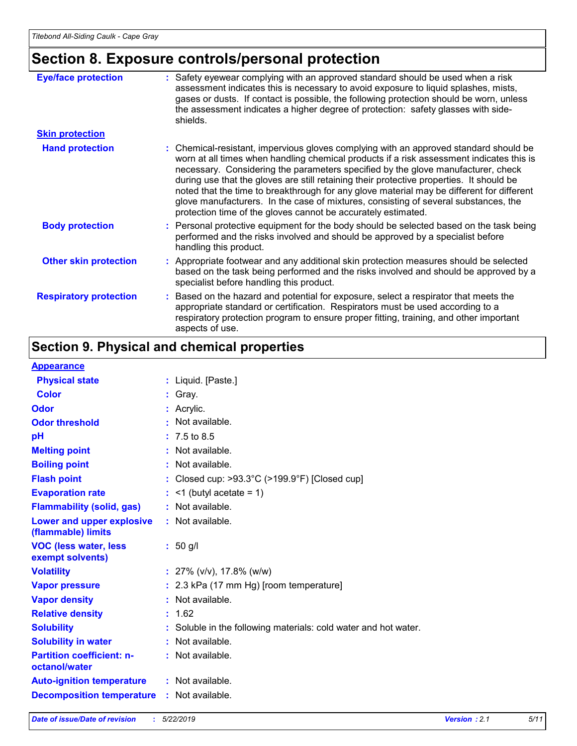### **Section 8. Exposure controls/personal protection**

| <b>Eye/face protection</b>    | : Safety eyewear complying with an approved standard should be used when a risk<br>assessment indicates this is necessary to avoid exposure to liquid splashes, mists,<br>gases or dusts. If contact is possible, the following protection should be worn, unless<br>the assessment indicates a higher degree of protection: safety glasses with side-<br>shields.                                                                                                                                                                                                                                                     |
|-------------------------------|------------------------------------------------------------------------------------------------------------------------------------------------------------------------------------------------------------------------------------------------------------------------------------------------------------------------------------------------------------------------------------------------------------------------------------------------------------------------------------------------------------------------------------------------------------------------------------------------------------------------|
| <b>Skin protection</b>        |                                                                                                                                                                                                                                                                                                                                                                                                                                                                                                                                                                                                                        |
| <b>Hand protection</b>        | : Chemical-resistant, impervious gloves complying with an approved standard should be<br>worn at all times when handling chemical products if a risk assessment indicates this is<br>necessary. Considering the parameters specified by the glove manufacturer, check<br>during use that the gloves are still retaining their protective properties. It should be<br>noted that the time to breakthrough for any glove material may be different for different<br>glove manufacturers. In the case of mixtures, consisting of several substances, the<br>protection time of the gloves cannot be accurately estimated. |
| <b>Body protection</b>        | : Personal protective equipment for the body should be selected based on the task being<br>performed and the risks involved and should be approved by a specialist before<br>handling this product.                                                                                                                                                                                                                                                                                                                                                                                                                    |
| <b>Other skin protection</b>  | : Appropriate footwear and any additional skin protection measures should be selected<br>based on the task being performed and the risks involved and should be approved by a<br>specialist before handling this product.                                                                                                                                                                                                                                                                                                                                                                                              |
| <b>Respiratory protection</b> | : Based on the hazard and potential for exposure, select a respirator that meets the<br>appropriate standard or certification. Respirators must be used according to a<br>respiratory protection program to ensure proper fitting, training, and other important<br>aspects of use.                                                                                                                                                                                                                                                                                                                                    |

### **Section 9. Physical and chemical properties**

#### **Appearance**

| <b>APPCGIGILUS</b>                                     |                                                                    |
|--------------------------------------------------------|--------------------------------------------------------------------|
| <b>Physical state</b>                                  | : Liquid. [Paste.]                                                 |
| <b>Color</b>                                           | Gray.                                                              |
| Odor                                                   | $:$ Acrylic.                                                       |
| <b>Odor threshold</b>                                  | : Not available.                                                   |
| pH                                                     | $: 7.5 \text{ to } 8.5$                                            |
| <b>Melting point</b>                                   | : Not available.                                                   |
| <b>Boiling point</b>                                   | : Not available.                                                   |
| <b>Flash point</b>                                     | : Closed cup: $>93.3^{\circ}$ C ( $>199.9^{\circ}$ F) [Closed cup] |
| <b>Evaporation rate</b>                                | $\leq$ 1 (butyl acetate = 1)                                       |
| <b>Flammability (solid, gas)</b>                       | : Not available.                                                   |
| <b>Lower and upper explosive</b><br>(flammable) limits | $:$ Not available.                                                 |
| <b>VOC (less water, less)</b><br>exempt solvents)      | $: 50$ g/l                                                         |
| <b>Volatility</b>                                      | : $27\%$ (v/v), 17.8% (w/w)                                        |
| <b>Vapor pressure</b>                                  | : 2.3 kPa (17 mm Hg) [room temperature]                            |
| <b>Vapor density</b>                                   | : Not available.                                                   |
| <b>Relative density</b>                                | : 1.62                                                             |
| <b>Solubility</b>                                      | : Soluble in the following materials: cold water and hot water.    |
| <b>Solubility in water</b>                             | : Not available.                                                   |
| <b>Partition coefficient: n-</b><br>octanol/water      | : Not available.                                                   |
| <b>Auto-ignition temperature</b>                       | : Not available.                                                   |
| <b>Decomposition temperature</b>                       | : Not available.                                                   |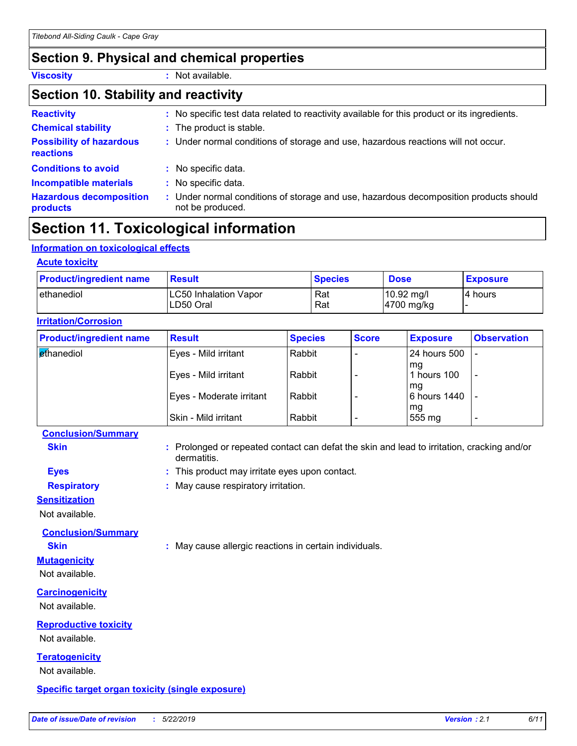### **Section 9. Physical and chemical properties**

**Viscosity :** Not available.

#### **Section 10. Stability and reactivity**

| <b>Reactivity</b>                                   | : No specific test data related to reactivity available for this product or its ingredients.              |
|-----------------------------------------------------|-----------------------------------------------------------------------------------------------------------|
| <b>Chemical stability</b>                           | : The product is stable.                                                                                  |
| <b>Possibility of hazardous</b><br><b>reactions</b> | : Under normal conditions of storage and use, hazardous reactions will not occur.                         |
| <b>Conditions to avoid</b>                          | : No specific data.                                                                                       |
| <b>Incompatible materials</b>                       | : No specific data.                                                                                       |
| <b>Hazardous decomposition</b><br>products          | : Under normal conditions of storage and use, hazardous decomposition products should<br>not be produced. |

### **Section 11. Toxicological information**

#### **Information on toxicological effects**

| <b>Result</b>                              | <b>Species</b> | <b>Dose</b>                                    | <b>Exposure</b> |
|--------------------------------------------|----------------|------------------------------------------------|-----------------|
| <b>LC50 Inhalation Vapor</b><br>ILD50 Oral | Rat<br>Rat     | $10.92 \text{ mg/l}$<br>$ 4700 \text{ mg/kg} $ | I4 hours        |
|                                            |                |                                                |                 |

| <b>Product/ingredient name</b> | <b>Result</b>            | <b>Species</b> | <b>Score</b> | <b>Exposure</b>    | <b>Observation</b> |
|--------------------------------|--------------------------|----------------|--------------|--------------------|--------------------|
| <b>Ethanediol</b>              | Eyes - Mild irritant     | Rabbit         |              | 24 hours 500       |                    |
|                                | Eyes - Mild irritant     | Rabbit         |              | mg<br>hours 100    |                    |
|                                | Eyes - Moderate irritant | Rabbit         |              | mg<br>6 hours 1440 |                    |
|                                | Skin - Mild irritant     | Rabbit         |              | mg<br>555 mg       |                    |

#### **Conclusion/Summary**

**Skin Example 20 :** Prolonged or repeated contact can defat the skin and lead to irritation, cracking and/or dermatitis.

- **Eyes :** This product may irritate eyes upon contact.
- **Respiratory :** May cause respiratory irritation.

#### **Sensitization**

Not available.

**Conclusion/Summary**

**Skin :** May cause allergic reactions in certain individuals.

#### **Mutagenicity** Not available.

**Carcinogenicity**

Not available.

### **Reproductive toxicity**

Not available.

#### **Teratogenicity**

Not available.

#### **Specific target organ toxicity (single exposure)**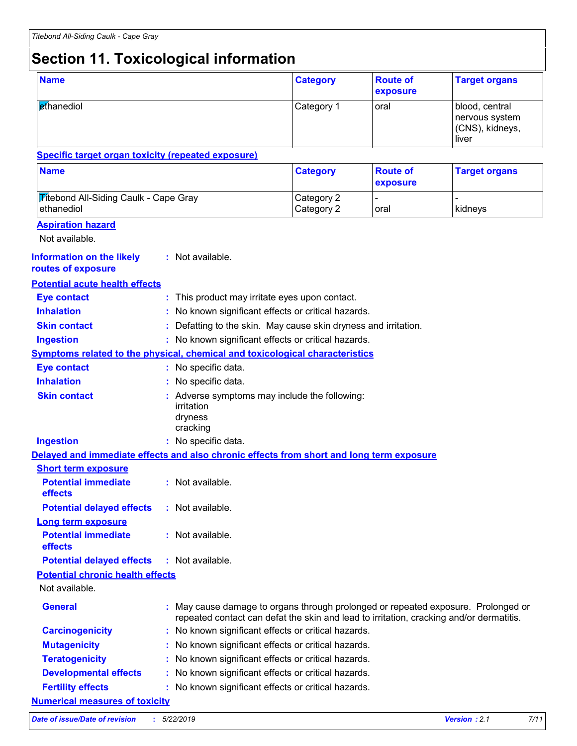### **Section 11. Toxicological information**

| <b>Name</b>                                                                              |  | <b>Category</b>                                                                                                                                                            | <b>Route of</b><br>exposure                         | <b>Target organs</b>        |                                                              |  |  |
|------------------------------------------------------------------------------------------|--|----------------------------------------------------------------------------------------------------------------------------------------------------------------------------|-----------------------------------------------------|-----------------------------|--------------------------------------------------------------|--|--|
| ethanediol                                                                               |  |                                                                                                                                                                            | Category 1                                          | oral                        | blood, central<br>nervous system<br>(CNS), kidneys,<br>liver |  |  |
| <b>Specific target organ toxicity (repeated exposure)</b>                                |  |                                                                                                                                                                            |                                                     |                             |                                                              |  |  |
| <b>Name</b>                                                                              |  |                                                                                                                                                                            | <b>Category</b>                                     | <b>Route of</b><br>exposure | <b>Target organs</b>                                         |  |  |
| <b>Titebond All-Siding Caulk - Cape Gray</b><br>ethanediol                               |  |                                                                                                                                                                            | Category 2<br>Category 2                            | oral                        | kidneys                                                      |  |  |
| <b>Aspiration hazard</b><br>Not available.                                               |  |                                                                                                                                                                            |                                                     |                             |                                                              |  |  |
| <b>Information on the likely</b><br>routes of exposure                                   |  | : Not available.                                                                                                                                                           |                                                     |                             |                                                              |  |  |
| <b>Potential acute health effects</b>                                                    |  |                                                                                                                                                                            |                                                     |                             |                                                              |  |  |
| <b>Eye contact</b>                                                                       |  | : This product may irritate eyes upon contact.                                                                                                                             |                                                     |                             |                                                              |  |  |
| <b>Inhalation</b>                                                                        |  | No known significant effects or critical hazards.                                                                                                                          |                                                     |                             |                                                              |  |  |
| <b>Skin contact</b>                                                                      |  | Defatting to the skin. May cause skin dryness and irritation.                                                                                                              |                                                     |                             |                                                              |  |  |
| <b>Ingestion</b>                                                                         |  |                                                                                                                                                                            | : No known significant effects or critical hazards. |                             |                                                              |  |  |
| <b>Symptoms related to the physical, chemical and toxicological characteristics</b>      |  |                                                                                                                                                                            |                                                     |                             |                                                              |  |  |
| <b>Eye contact</b>                                                                       |  | : No specific data.                                                                                                                                                        |                                                     |                             |                                                              |  |  |
| <b>Inhalation</b>                                                                        |  | No specific data.                                                                                                                                                          |                                                     |                             |                                                              |  |  |
| <b>Skin contact</b>                                                                      |  | Adverse symptoms may include the following:<br>irritation<br>dryness<br>cracking                                                                                           |                                                     |                             |                                                              |  |  |
| <b>Ingestion</b>                                                                         |  | : No specific data.                                                                                                                                                        |                                                     |                             |                                                              |  |  |
| Delayed and immediate effects and also chronic effects from short and long term exposure |  |                                                                                                                                                                            |                                                     |                             |                                                              |  |  |
| <b>Short term exposure</b>                                                               |  |                                                                                                                                                                            |                                                     |                             |                                                              |  |  |
| <b>Potential immediate</b><br>effects                                                    |  | : Not available                                                                                                                                                            |                                                     |                             |                                                              |  |  |
| <b>Potential delayed effects</b>                                                         |  | : Not available.                                                                                                                                                           |                                                     |                             |                                                              |  |  |
| <b>Long term exposure</b>                                                                |  |                                                                                                                                                                            |                                                     |                             |                                                              |  |  |
| <b>Potential immediate</b><br>effects                                                    |  | : Not available.                                                                                                                                                           |                                                     |                             |                                                              |  |  |
| <b>Potential delayed effects</b>                                                         |  | : Not available.                                                                                                                                                           |                                                     |                             |                                                              |  |  |
| <b>Potential chronic health effects</b><br>Not available.                                |  |                                                                                                                                                                            |                                                     |                             |                                                              |  |  |
| <b>General</b>                                                                           |  | May cause damage to organs through prolonged or repeated exposure. Prolonged or<br>repeated contact can defat the skin and lead to irritation, cracking and/or dermatitis. |                                                     |                             |                                                              |  |  |
| <b>Carcinogenicity</b>                                                                   |  | No known significant effects or critical hazards.                                                                                                                          |                                                     |                             |                                                              |  |  |
| <b>Mutagenicity</b>                                                                      |  | No known significant effects or critical hazards.                                                                                                                          |                                                     |                             |                                                              |  |  |
| <b>Teratogenicity</b>                                                                    |  | No known significant effects or critical hazards.                                                                                                                          |                                                     |                             |                                                              |  |  |
| <b>Developmental effects</b>                                                             |  | No known significant effects or critical hazards.                                                                                                                          |                                                     |                             |                                                              |  |  |
| <b>Fertility effects</b>                                                                 |  | No known significant effects or critical hazards.                                                                                                                          |                                                     |                             |                                                              |  |  |
| <b>Numerical measures of toxicity</b>                                                    |  |                                                                                                                                                                            |                                                     |                             |                                                              |  |  |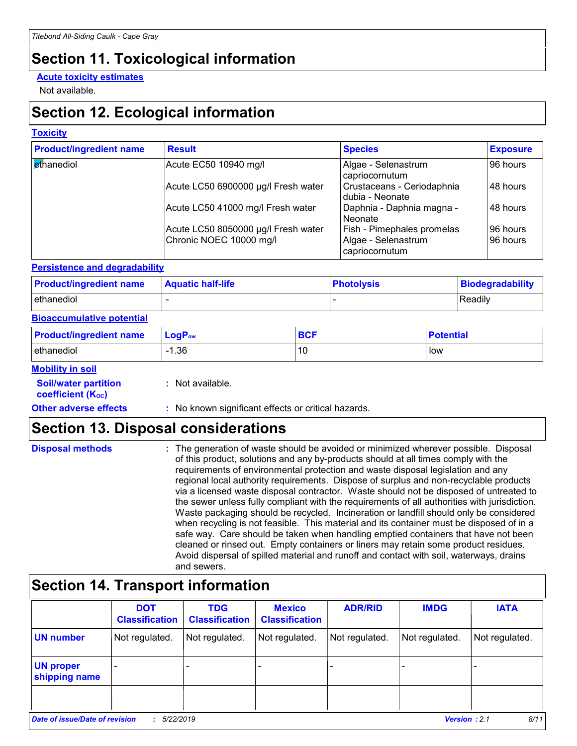### **Section 11. Toxicological information**

#### **Acute toxicity estimates**

Not available.

### **Section 12. Ecological information**

#### **Toxicity**

| <b>Product/ingredient name</b> | <b>Result</b>                       | <b>Species</b>                                | <b>Exposure</b> |
|--------------------------------|-------------------------------------|-----------------------------------------------|-----------------|
| ethanediol                     | Acute EC50 10940 mg/l               | Algae - Selenastrum<br>capriocornutum         | 96 hours        |
|                                | Acute LC50 6900000 µg/l Fresh water | Crustaceans - Ceriodaphnia<br>dubia - Neonate | 48 hours        |
|                                | Acute LC50 41000 mg/l Fresh water   | Daphnia - Daphnia magna -<br>Neonate          | 48 hours        |
|                                | Acute LC50 8050000 µg/l Fresh water | Fish - Pimephales promelas                    | 96 hours        |
|                                | Chronic NOEC 10000 mg/l             | Algae - Selenastrum<br>capriocornutum         | 96 hours        |

#### **Persistence and degradability**

| <b>Product/ingredient name</b> | <b>Aquatic half-life</b> | <b>Photolysis</b> | Biodegradability |  |
|--------------------------------|--------------------------|-------------------|------------------|--|
| ethanediol                     |                          |                   | Readily          |  |

#### **Bioaccumulative potential**

| <b>Product/ingredient name</b> | $\mathsf{LogP}_\mathsf{ow}$ | BCF | <b>Potential</b> |
|--------------------------------|-----------------------------|-----|------------------|
| ethanediol                     | .36                         | 10  | low              |

#### **Mobility in soil**

| <b>Soil/water partition</b> |  |
|-----------------------------|--|
| <b>coefficient (Koc)</b>    |  |

**:** Not available.

#### **Other adverse effects** : No known significant effects or critical hazards.

### **Section 13. Disposal considerations**

| <b>Disposal methods</b> | : The generation of waste should be avoided or minimized wherever possible. Disposal<br>of this product, solutions and any by-products should at all times comply with the<br>requirements of environmental protection and waste disposal legislation and any<br>regional local authority requirements. Dispose of surplus and non-recyclable products<br>via a licensed waste disposal contractor. Waste should not be disposed of untreated to<br>the sewer unless fully compliant with the requirements of all authorities with jurisdiction.<br>Waste packaging should be recycled. Incineration or landfill should only be considered<br>when recycling is not feasible. This material and its container must be disposed of in a<br>safe way. Care should be taken when handling emptied containers that have not been<br>cleaned or rinsed out. Empty containers or liners may retain some product residues. |
|-------------------------|---------------------------------------------------------------------------------------------------------------------------------------------------------------------------------------------------------------------------------------------------------------------------------------------------------------------------------------------------------------------------------------------------------------------------------------------------------------------------------------------------------------------------------------------------------------------------------------------------------------------------------------------------------------------------------------------------------------------------------------------------------------------------------------------------------------------------------------------------------------------------------------------------------------------|
|                         | Avoid dispersal of spilled material and runoff and contact with soil, waterways, drains<br>and sewers.                                                                                                                                                                                                                                                                                                                                                                                                                                                                                                                                                                                                                                                                                                                                                                                                              |

### **Section 14. Transport information**

|                                       | <b>DOT</b><br><b>Classification</b> | <b>TDG</b><br><b>Classification</b> | <b>Mexico</b><br><b>Classification</b> | <b>ADR/RID</b> | <b>IMDG</b>    | <b>IATA</b>    |
|---------------------------------------|-------------------------------------|-------------------------------------|----------------------------------------|----------------|----------------|----------------|
| <b>UN number</b>                      | Not regulated.                      | Not regulated.                      | Not regulated.                         | Not regulated. | Not regulated. | Not regulated. |
| <b>UN proper</b><br>shipping name     |                                     |                                     |                                        |                |                |                |
|                                       |                                     |                                     |                                        |                |                |                |
| <b>Date of issue/Date of revision</b> | 5/22/2019                           |                                     |                                        |                | Version: 2.1   | 8/11           |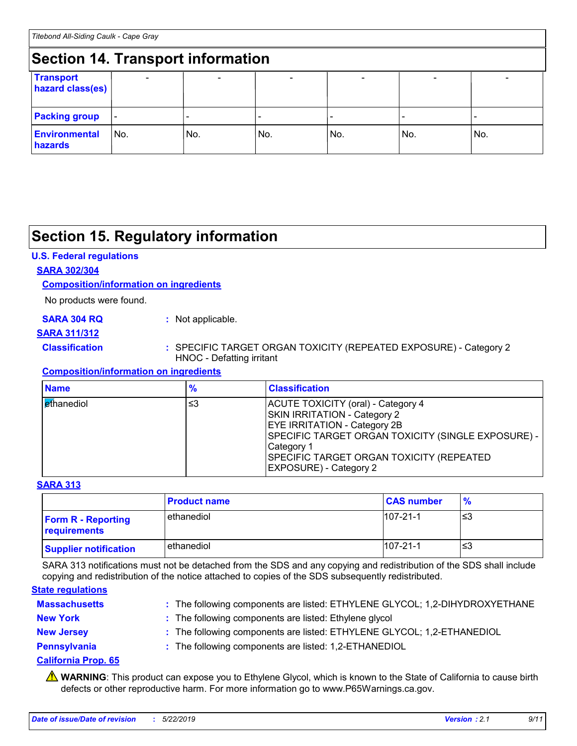### **Section 14. Transport information**

|                                      | Section 14. Hansport Information |        |     |                          |     |     |  |
|--------------------------------------|----------------------------------|--------|-----|--------------------------|-----|-----|--|
| <b>Transport</b><br>hazard class(es) |                                  | $\sim$ |     | $\overline{\phantom{0}}$ |     |     |  |
| <b>Packing group</b>                 | $\overline{\phantom{a}}$         |        |     |                          |     |     |  |
| <b>Environmental</b><br>hazards      | l No.                            | No.    | No. | No.                      | No. | No. |  |

### **Section 15. Regulatory information**

#### **U.S. Federal regulations**

#### **SARA 302/304**

#### **Composition/information on ingredients**

No products were found.

#### **SARA 304 RQ :** Not applicable.

#### **SARA 311/312**

#### **Classification :** SPECIFIC TARGET ORGAN TOXICITY (REPEATED EXPOSURE) - Category 2 HNOC - Defatting irritant

#### **Composition/information on ingredients**

| <b>Name</b>       | $\frac{9}{6}$ | <b>Classification</b>                                                                                                                                                                                                                                              |
|-------------------|---------------|--------------------------------------------------------------------------------------------------------------------------------------------------------------------------------------------------------------------------------------------------------------------|
| <b>Ethanediol</b> | ≤3            | ACUTE TOXICITY (oral) - Category 4<br><b>SKIN IRRITATION - Category 2</b><br><b>EYE IRRITATION - Category 2B</b><br>SPECIFIC TARGET ORGAN TOXICITY (SINGLE EXPOSURE) -<br>Category 1<br>SPECIFIC TARGET ORGAN TOXICITY (REPEATED<br><b>EXPOSURE</b> ) - Category 2 |

#### **SARA 313**

|                                           | <b>Product name</b> | <b>CAS number</b> | $\frac{9}{6}$ |
|-------------------------------------------|---------------------|-------------------|---------------|
| <b>Form R - Reporting</b><br>requirements | ethanediol          | $107 - 21 - 1$    | נ≥ו           |
| <b>Supplier notification</b>              | ethanediol          | $107 - 21 - 1$    | '≤3           |

SARA 313 notifications must not be detached from the SDS and any copying and redistribution of the SDS shall include copying and redistribution of the notice attached to copies of the SDS subsequently redistributed.

#### **State regulations**

| <b>Massachusetts</b> | : The following components are listed: ETHYLENE GLYCOL; 1,2-DIHYDROXYETHANE |
|----------------------|-----------------------------------------------------------------------------|
| <b>New York</b>      | : The following components are listed: Ethylene glycol                      |
| <b>New Jersey</b>    | : The following components are listed: ETHYLENE GLYCOL; 1,2-ETHANEDIOL      |
| Pennsylvania         | : The following components are listed: 1,2-ETHANEDIOL                       |

#### **California Prop. 65**

**A** WARNING: This product can expose you to Ethylene Glycol, which is known to the State of California to cause birth defects or other reproductive harm. For more information go to www.P65Warnings.ca.gov.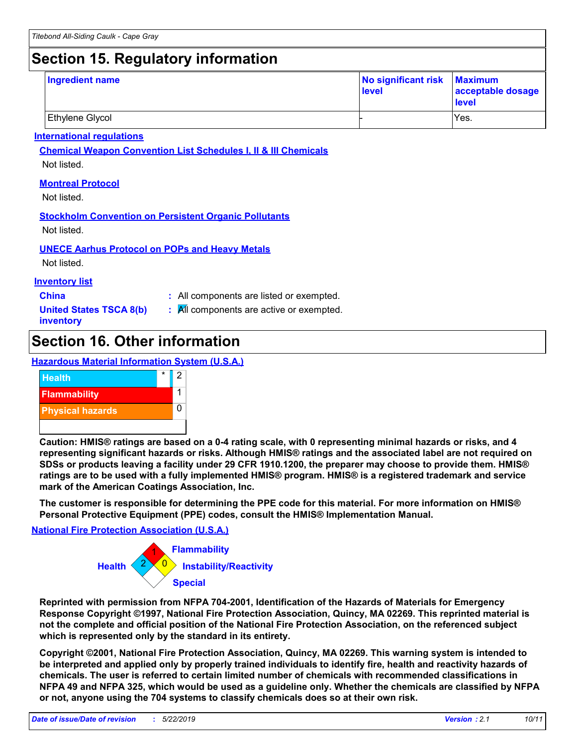### **Section 15. Regulatory information**

| Ingredient name        | No significant risk Maximum<br>level | acceptable dosage<br>level |
|------------------------|--------------------------------------|----------------------------|
| <b>Ethylene Glycol</b> |                                      | IYes.                      |

#### **International regulations**

**Chemical Weapon Convention List Schedules I, II & III Chemicals**

Not listed.

#### **Montreal Protocol**

Not listed.

#### **Stockholm Convention on Persistent Organic Pollutants**

Not listed.

#### **UNECE Aarhus Protocol on POPs and Heavy Metals**

Not listed.

#### **Inventory list**

- **China :** All components are listed or exempted.
- **United States TSCA 8(b) inventory**
- **:** All components are active or exempted.

### **Section 16. Other information**

#### **Hazardous Material Information System (U.S.A.)**



**Caution: HMIS® ratings are based on a 0-4 rating scale, with 0 representing minimal hazards or risks, and 4 representing significant hazards or risks. Although HMIS® ratings and the associated label are not required on SDSs or products leaving a facility under 29 CFR 1910.1200, the preparer may choose to provide them. HMIS® ratings are to be used with a fully implemented HMIS® program. HMIS® is a registered trademark and service mark of the American Coatings Association, Inc.**

**The customer is responsible for determining the PPE code for this material. For more information on HMIS® Personal Protective Equipment (PPE) codes, consult the HMIS® Implementation Manual.**

#### **National Fire Protection Association (U.S.A.)**



**Reprinted with permission from NFPA 704-2001, Identification of the Hazards of Materials for Emergency Response Copyright ©1997, National Fire Protection Association, Quincy, MA 02269. This reprinted material is not the complete and official position of the National Fire Protection Association, on the referenced subject which is represented only by the standard in its entirety.**

**Copyright ©2001, National Fire Protection Association, Quincy, MA 02269. This warning system is intended to be interpreted and applied only by properly trained individuals to identify fire, health and reactivity hazards of chemicals. The user is referred to certain limited number of chemicals with recommended classifications in NFPA 49 and NFPA 325, which would be used as a guideline only. Whether the chemicals are classified by NFPA or not, anyone using the 704 systems to classify chemicals does so at their own risk.**